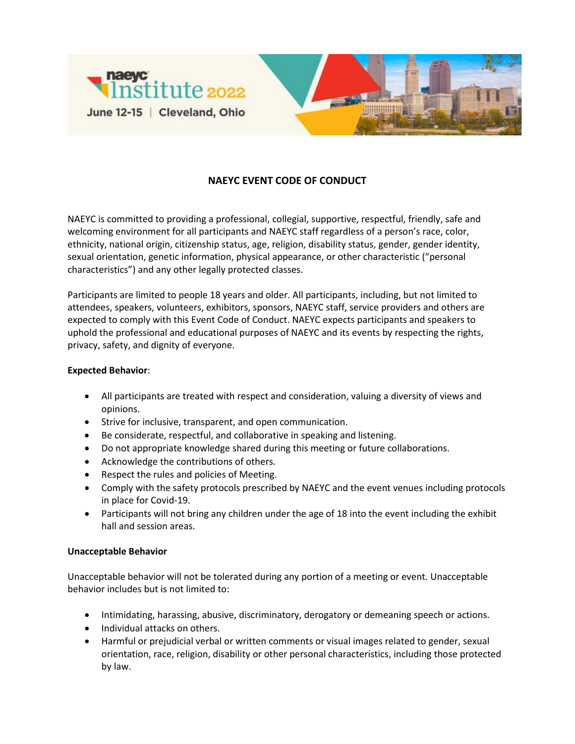

## **NAEYC EVENT CODE OF CONDUCT**

NAEYC is committed to providing a professional, collegial, supportive, respectful, friendly, safe and welcoming environment for all participants and NAEYC staff regardless of a person's race, color, ethnicity, national origin, citizenship status, age, religion, disability status, gender, gender identity, sexual orientation, genetic information, physical appearance, or other characteristic ("personal characteristics") and any other legally protected classes.

Participants are limited to people 18 years and older. All participants, including, but not limited to attendees, speakers, volunteers, exhibitors, sponsors, NAEYC staff, service providers and others are expected to comply with this Event Code of Conduct. NAEYC expects participants and speakers to uphold the professional and educational purposes of NAEYC and its events by respecting the rights, privacy, safety, and dignity of everyone.

## **Expected Behavior**:

- All participants are treated with respect and consideration, valuing a diversity of views and opinions.
- Strive for inclusive, transparent, and open communication.
- Be considerate, respectful, and collaborative in speaking and listening.
- Do not appropriate knowledge shared during this meeting or future collaborations.
- Acknowledge the contributions of others.
- Respect the rules and policies of Meeting.
- Comply with the safety protocols prescribed by NAEYC and the event venues including protocols in place for Covid-19.
- Participants will not bring any children under the age of 18 into the event including the exhibit hall and session areas.

## **Unacceptable Behavior**

Unacceptable behavior will not be tolerated during any portion of a meeting or event. Unacceptable behavior includes but is not limited to:

- Intimidating, harassing, abusive, discriminatory, derogatory or demeaning speech or actions.
- Individual attacks on others.
- Harmful or prejudicial verbal or written comments or visual images related to gender, sexual orientation, race, religion, disability or other personal characteristics, including those protected by law.